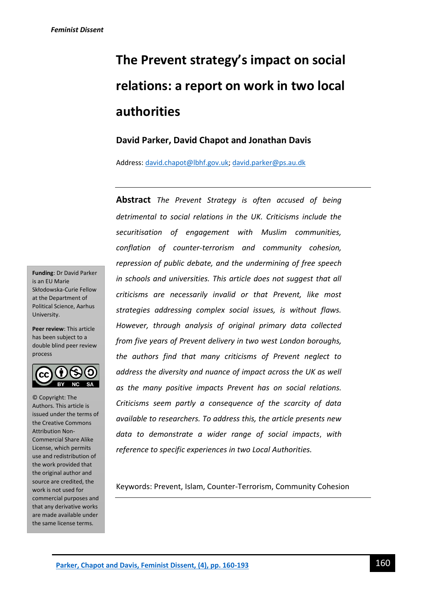# **The Prevent strategy's impact on social relations: a report on work in two local authorities**

# **David Parker, David Chapot and Jonathan Davis**

Address[: david.chapot@lbhf.gov.uk;](mailto:david.chapot@lbhf.gov.uk) [david.parker@ps.au.dk](mailto:david.parker@ps.au.dk)

**Abstract** *The Prevent Strategy is often accused of being detrimental to social relations in the UK. Criticisms include the securitisation of engagement with Muslim communities, conflation of counter-terrorism and community cohesion, repression of public debate, and the undermining of free speech in schools and universities. This article does not suggest that all criticisms are necessarily invalid or that Prevent, like most strategies addressing complex social issues, is without flaws. However, through analysis of original primary data collected from five years of Prevent delivery in two west London boroughs, the authors find that many criticisms of Prevent neglect to address the diversity and nuance of impact across the UK as well as the many positive impacts Prevent has on social relations. Criticisms seem partly a consequence of the scarcity of data available to researchers. To address this, the article presents new data to demonstrate a wider range of social impacts*, *with reference to specific experiences in two Local Authorities.*

Keywords: Prevent, Islam, Counter-Terrorism, Community Cohesion

**Funding**: Dr David Parker is an EU Marie Skłodowska-Curie Fellow at the Department of Political Science, Aarhus University.

**Peer review**: This article has been subject to a double blind peer review process



© Copyright: The Authors. This article is issued under the terms of the Creative Commons Attribution Non-Commercial Share Alike License, which permits use and redistribution of the work provided that the original author and source are credited, the work is not used for commercial purposes and that any derivative works are made available under the same license terms.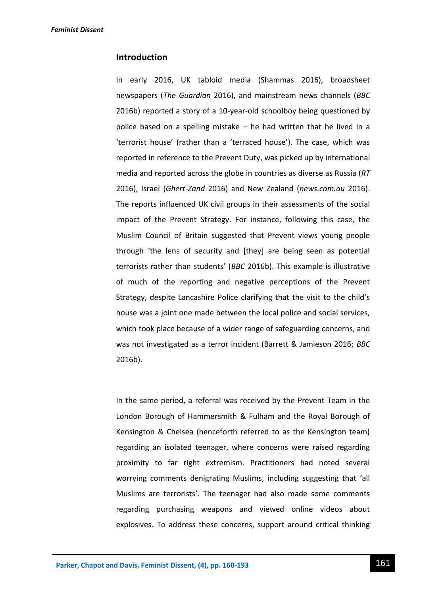## **Introduction**

In early 2016, UK tabloid media (Shammas 2016), broadsheet newspapers (*The Guardian* 2016), and mainstream news channels (*BBC* 2016b) reported a story of a 10-year-old schoolboy being questioned by police based on a spelling mistake – he had written that he lived in a 'terrorist house' (rather than a 'terraced house'). The case, which was reported in reference to the Prevent Duty, was picked up by international media and reported across the globe in countries as diverse as Russia (*RT* 2016), Israel (*Ghert-Zand* 2016) and New Zealand (*news.com.au* 2016). The reports influenced UK civil groups in their assessments of the social impact of the Prevent Strategy. For instance, following this case, the Muslim Council of Britain suggested that Prevent views young people through 'the lens of security and [they] are being seen as potential terrorists rather than students' (*BBC* 2016b). This example is illustrative of much of the reporting and negative perceptions of the Prevent Strategy, despite Lancashire Police clarifying that the visit to the child's house was a joint one made between the local police and social services, which took place because of a wider range of safeguarding concerns, and was not investigated as a terror incident (Barrett & Jamieson 2016; *BBC* 2016b).

In the same period, a referral was received by the Prevent Team in the London Borough of Hammersmith & Fulham and the Royal Borough of Kensington & Chelsea (henceforth referred to as the Kensington team) regarding an isolated teenager, where concerns were raised regarding proximity to far right extremism. Practitioners had noted several worrying comments denigrating Muslims, including suggesting that 'all Muslims are terrorists'. The teenager had also made some comments regarding purchasing weapons and viewed online videos about explosives. To address these concerns, support around critical thinking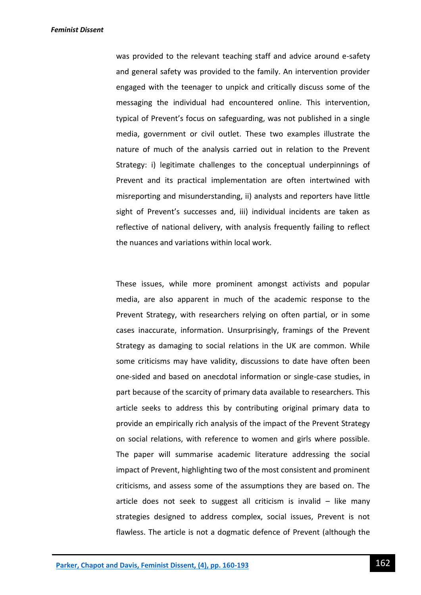was provided to the relevant teaching staff and advice around e-safety and general safety was provided to the family. An intervention provider engaged with the teenager to unpick and critically discuss some of the messaging the individual had encountered online. This intervention, typical of Prevent's focus on safeguarding, was not published in a single media, government or civil outlet. These two examples illustrate the nature of much of the analysis carried out in relation to the Prevent Strategy: i) legitimate challenges to the conceptual underpinnings of Prevent and its practical implementation are often intertwined with misreporting and misunderstanding, ii) analysts and reporters have little sight of Prevent's successes and, iii) individual incidents are taken as reflective of national delivery, with analysis frequently failing to reflect the nuances and variations within local work.

These issues, while more prominent amongst activists and popular media, are also apparent in much of the academic response to the Prevent Strategy, with researchers relying on often partial, or in some cases inaccurate, information. Unsurprisingly, framings of the Prevent Strategy as damaging to social relations in the UK are common. While some criticisms may have validity, discussions to date have often been one-sided and based on anecdotal information or single-case studies, in part because of the scarcity of primary data available to researchers. This article seeks to address this by contributing original primary data to provide an empirically rich analysis of the impact of the Prevent Strategy on social relations, with reference to women and girls where possible. The paper will summarise academic literature addressing the social impact of Prevent, highlighting two of the most consistent and prominent criticisms, and assess some of the assumptions they are based on. The article does not seek to suggest all criticism is invalid  $-$  like many strategies designed to address complex, social issues, Prevent is not flawless. The article is not a dogmatic defence of Prevent (although the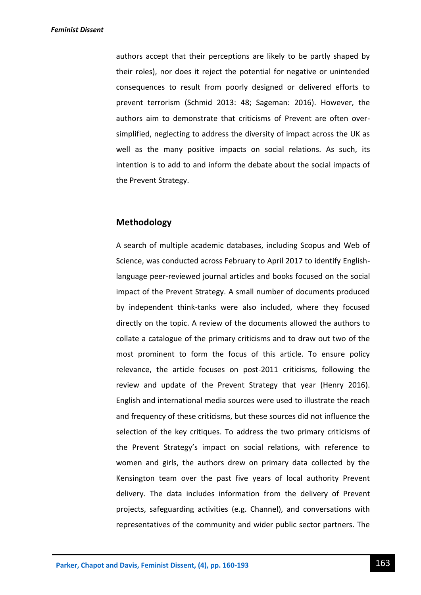authors accept that their perceptions are likely to be partly shaped by their roles), nor does it reject the potential for negative or unintended consequences to result from poorly designed or delivered efforts to prevent terrorism (Schmid 2013: 48; Sageman: 2016). However, the authors aim to demonstrate that criticisms of Prevent are often oversimplified, neglecting to address the diversity of impact across the UK as well as the many positive impacts on social relations. As such, its intention is to add to and inform the debate about the social impacts of the Prevent Strategy.

## **Methodology**

A search of multiple academic databases, including Scopus and Web of Science, was conducted across February to April 2017 to identify Englishlanguage peer-reviewed journal articles and books focused on the social impact of the Prevent Strategy. A small number of documents produced by independent think-tanks were also included, where they focused directly on the topic. A review of the documents allowed the authors to collate a catalogue of the primary criticisms and to draw out two of the most prominent to form the focus of this article. To ensure policy relevance, the article focuses on post-2011 criticisms, following the review and update of the Prevent Strategy that year (Henry 2016). English and international media sources were used to illustrate the reach and frequency of these criticisms, but these sources did not influence the selection of the key critiques. To address the two primary criticisms of the Prevent Strategy's impact on social relations, with reference to women and girls, the authors drew on primary data collected by the Kensington team over the past five years of local authority Prevent delivery. The data includes information from the delivery of Prevent projects, safeguarding activities (e.g. Channel), and conversations with representatives of the community and wider public sector partners. The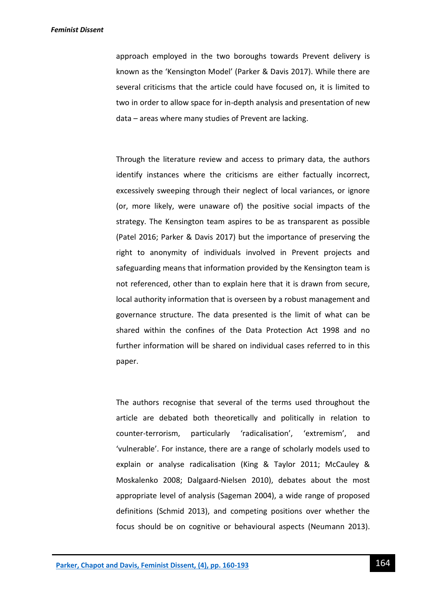### *Feminist Dissent*

approach employed in the two boroughs towards Prevent delivery is known as the 'Kensington Model' (Parker & Davis 2017). While there are several criticisms that the article could have focused on, it is limited to two in order to allow space for in-depth analysis and presentation of new data – areas where many studies of Prevent are lacking.

Through the literature review and access to primary data, the authors identify instances where the criticisms are either factually incorrect, excessively sweeping through their neglect of local variances, or ignore (or, more likely, were unaware of) the positive social impacts of the strategy. The Kensington team aspires to be as transparent as possible (Patel 2016; Parker & Davis 2017) but the importance of preserving the right to anonymity of individuals involved in Prevent projects and safeguarding means that information provided by the Kensington team is not referenced, other than to explain here that it is drawn from secure, local authority information that is overseen by a robust management and governance structure. The data presented is the limit of what can be shared within the confines of the Data Protection Act 1998 and no further information will be shared on individual cases referred to in this paper.

The authors recognise that several of the terms used throughout the article are debated both theoretically and politically in relation to counter-terrorism, particularly 'radicalisation', 'extremism', and 'vulnerable'. For instance, there are a range of scholarly models used to explain or analyse radicalisation (King & Taylor 2011; McCauley & Moskalenko 2008; Dalgaard-Nielsen 2010), debates about the most appropriate level of analysis (Sageman 2004), a wide range of proposed definitions (Schmid 2013), and competing positions over whether the focus should be on cognitive or behavioural aspects (Neumann 2013).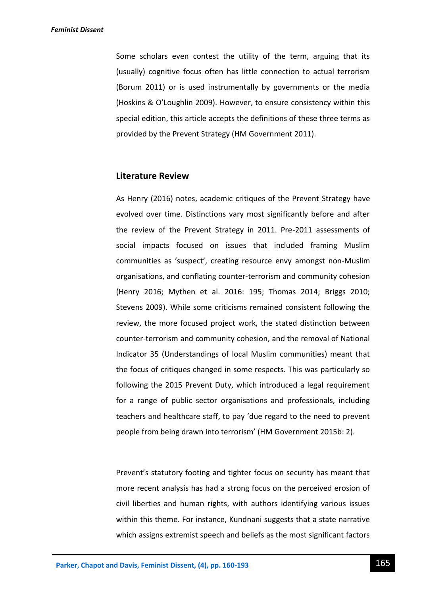Some scholars even contest the utility of the term, arguing that its (usually) cognitive focus often has little connection to actual terrorism (Borum 2011) or is used instrumentally by governments or the media (Hoskins & O'Loughlin 2009). However, to ensure consistency within this special edition, this article accepts the definitions of these three terms as provided by the Prevent Strategy (HM Government 2011).

### **Literature Review**

As Henry (2016) notes, academic critiques of the Prevent Strategy have evolved over time. Distinctions vary most significantly before and after the review of the Prevent Strategy in 2011. Pre-2011 assessments of social impacts focused on issues that included framing Muslim communities as 'suspect', creating resource envy amongst non-Muslim organisations, and conflating counter-terrorism and community cohesion (Henry 2016; Mythen et al. 2016: 195; Thomas 2014; Briggs 2010; Stevens 2009). While some criticisms remained consistent following the review, the more focused project work, the stated distinction between counter-terrorism and community cohesion, and the removal of National Indicator 35 (Understandings of local Muslim communities) meant that the focus of critiques changed in some respects. This was particularly so following the 2015 Prevent Duty, which introduced a legal requirement for a range of public sector organisations and professionals, including teachers and healthcare staff, to pay 'due regard to the need to prevent people from being drawn into terrorism' (HM Government 2015b: 2).

Prevent's statutory footing and tighter focus on security has meant that more recent analysis has had a strong focus on the perceived erosion of civil liberties and human rights, with authors identifying various issues within this theme. For instance, Kundnani suggests that a state narrative which assigns extremist speech and beliefs as the most significant factors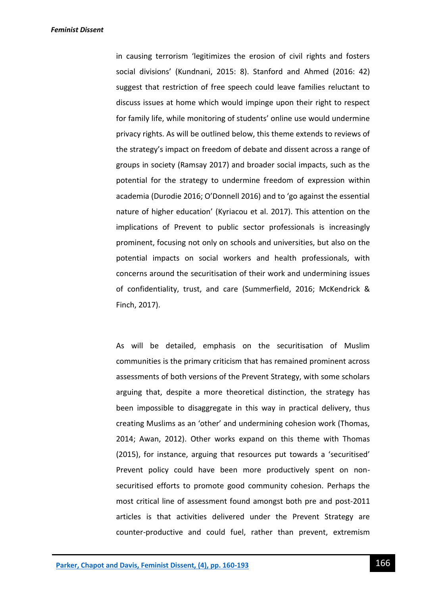*Feminist Dissent*

in causing terrorism 'legitimizes the erosion of civil rights and fosters social divisions' (Kundnani, 2015: 8). Stanford and Ahmed (2016: 42) suggest that restriction of free speech could leave families reluctant to discuss issues at home which would impinge upon their right to respect for family life, while monitoring of students' online use would undermine privacy rights. As will be outlined below, this theme extends to reviews of the strategy's impact on freedom of debate and dissent across a range of groups in society (Ramsay 2017) and broader social impacts, such as the potential for the strategy to undermine freedom of expression within academia (Durodie 2016; O'Donnell 2016) and to 'go against the essential nature of higher education' (Kyriacou et al. 2017). This attention on the implications of Prevent to public sector professionals is increasingly prominent, focusing not only on schools and universities, but also on the potential impacts on social workers and health professionals, with concerns around the securitisation of their work and undermining issues of confidentiality, trust, and care (Summerfield, 2016; McKendrick & Finch, 2017).

As will be detailed, emphasis on the securitisation of Muslim communities is the primary criticism that has remained prominent across assessments of both versions of the Prevent Strategy, with some scholars arguing that, despite a more theoretical distinction, the strategy has been impossible to disaggregate in this way in practical delivery, thus creating Muslims as an 'other' and undermining cohesion work (Thomas, 2014; Awan, 2012). Other works expand on this theme with Thomas (2015), for instance, arguing that resources put towards a 'securitised' Prevent policy could have been more productively spent on nonsecuritised efforts to promote good community cohesion. Perhaps the most critical line of assessment found amongst both pre and post-2011 articles is that activities delivered under the Prevent Strategy are counter-productive and could fuel, rather than prevent, extremism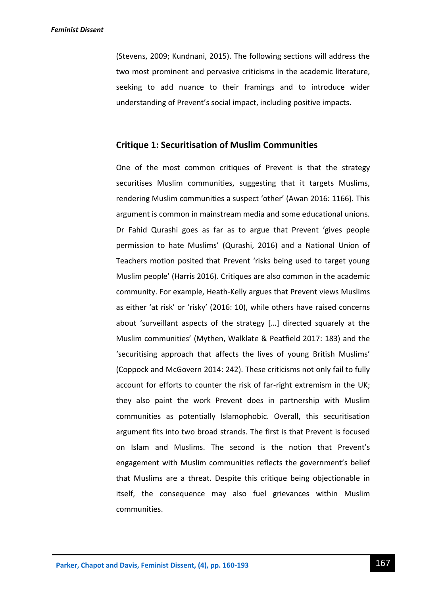(Stevens, 2009; Kundnani, 2015). The following sections will address the two most prominent and pervasive criticisms in the academic literature, seeking to add nuance to their framings and to introduce wider understanding of Prevent's social impact, including positive impacts.

### **Critique 1: Securitisation of Muslim Communities**

One of the most common critiques of Prevent is that the strategy securitises Muslim communities, suggesting that it targets Muslims, rendering Muslim communities a suspect 'other' (Awan 2016: 1166). This argument is common in mainstream media and some educational unions. Dr Fahid Qurashi goes as far as to argue that Prevent 'gives people permission to hate Muslims' (Qurashi, 2016) and a National Union of Teachers motion posited that Prevent 'risks being used to target young Muslim people' (Harris 2016). Critiques are also common in the academic community. For example, Heath-Kelly argues that Prevent views Muslims as either 'at risk' or 'risky' (2016: 10), while others have raised concerns about 'surveillant aspects of the strategy […] directed squarely at the Muslim communities' (Mythen, Walklate & Peatfield 2017: 183) and the 'securitising approach that affects the lives of young British Muslims' (Coppock and McGovern 2014: 242). These criticisms not only fail to fully account for efforts to counter the risk of far-right extremism in the UK; they also paint the work Prevent does in partnership with Muslim communities as potentially Islamophobic. Overall, this securitisation argument fits into two broad strands. The first is that Prevent is focused on Islam and Muslims. The second is the notion that Prevent's engagement with Muslim communities reflects the government's belief that Muslims are a threat. Despite this critique being objectionable in itself, the consequence may also fuel grievances within Muslim communities.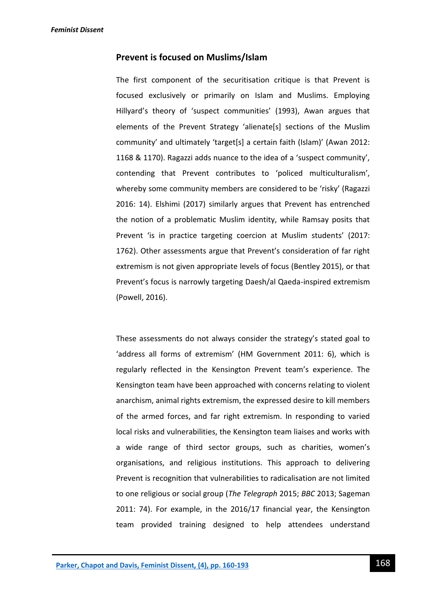### **Prevent is focused on Muslims/Islam**

The first component of the securitisation critique is that Prevent is focused exclusively or primarily on Islam and Muslims. Employing Hillyard's theory of 'suspect communities' (1993), Awan argues that elements of the Prevent Strategy 'alienate[s] sections of the Muslim community' and ultimately 'target[s] a certain faith (Islam)' (Awan 2012: 1168 & 1170). Ragazzi adds nuance to the idea of a 'suspect community', contending that Prevent contributes to 'policed multiculturalism', whereby some community members are considered to be 'risky' (Ragazzi 2016: 14). Elshimi (2017) similarly argues that Prevent has entrenched the notion of a problematic Muslim identity, while Ramsay posits that Prevent 'is in practice targeting coercion at Muslim students' (2017: 1762). Other assessments argue that Prevent's consideration of far right extremism is not given appropriate levels of focus (Bentley 2015), or that Prevent's focus is narrowly targeting Daesh/al Qaeda-inspired extremism (Powell, 2016).

These assessments do not always consider the strategy's stated goal to 'address all forms of extremism' (HM Government 2011: 6), which is regularly reflected in the Kensington Prevent team's experience. The Kensington team have been approached with concerns relating to violent anarchism, animal rights extremism, the expressed desire to kill members of the armed forces, and far right extremism. In responding to varied local risks and vulnerabilities, the Kensington team liaises and works with a wide range of third sector groups, such as charities, women's organisations, and religious institutions. This approach to delivering Prevent is recognition that vulnerabilities to radicalisation are not limited to one religious or social group (*The Telegraph* 2015; *BBC* 2013; Sageman 2011: 74). For example, in the 2016/17 financial year, the Kensington team provided training designed to help attendees understand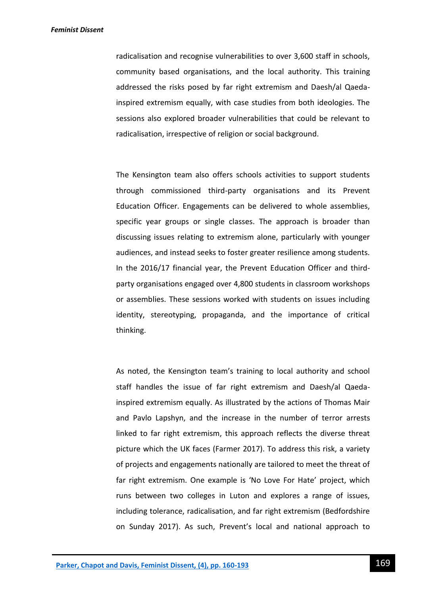radicalisation and recognise vulnerabilities to over 3,600 staff in schools, community based organisations, and the local authority. This training addressed the risks posed by far right extremism and Daesh/al Qaedainspired extremism equally, with case studies from both ideologies. The sessions also explored broader vulnerabilities that could be relevant to radicalisation, irrespective of religion or social background.

The Kensington team also offers schools activities to support students through commissioned third-party organisations and its Prevent Education Officer. Engagements can be delivered to whole assemblies, specific year groups or single classes. The approach is broader than discussing issues relating to extremism alone, particularly with younger audiences, and instead seeks to foster greater resilience among students. In the 2016/17 financial year, the Prevent Education Officer and thirdparty organisations engaged over 4,800 students in classroom workshops or assemblies. These sessions worked with students on issues including identity, stereotyping, propaganda, and the importance of critical thinking.

As noted, the Kensington team's training to local authority and school staff handles the issue of far right extremism and Daesh/al Qaedainspired extremism equally. As illustrated by the actions of Thomas Mair and Pavlo Lapshyn, and the increase in the number of terror arrests linked to far right extremism, this approach reflects the diverse threat picture which the UK faces (Farmer 2017). To address this risk, a variety of projects and engagements nationally are tailored to meet the threat of far right extremism. One example is 'No Love For Hate' project, which runs between two colleges in Luton and explores a range of issues, including tolerance, radicalisation, and far right extremism (Bedfordshire on Sunday 2017). As such, Prevent's local and national approach to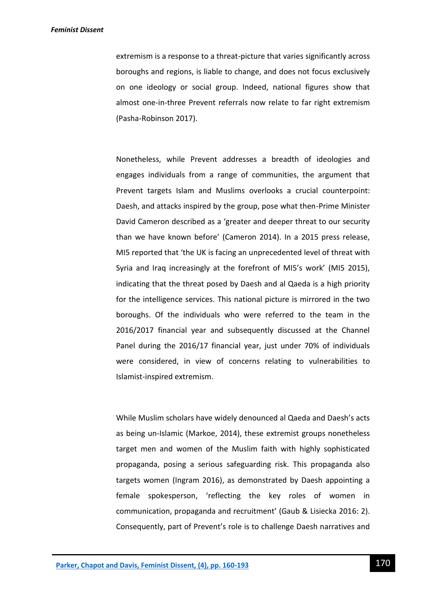### *Feminist Dissent*

extremism is a response to a threat-picture that varies significantly across boroughs and regions, is liable to change, and does not focus exclusively on one ideology or social group. Indeed, national figures show that almost one-in-three Prevent referrals now relate to far right extremism (Pasha-Robinson 2017).

Nonetheless, while Prevent addresses a breadth of ideologies and engages individuals from a range of communities, the argument that Prevent targets Islam and Muslims overlooks a crucial counterpoint: Daesh, and attacks inspired by the group, pose what then-Prime Minister David Cameron described as a 'greater and deeper threat to our security than we have known before' (Cameron 2014). In a 2015 press release, MI5 reported that 'the UK is facing an unprecedented level of threat with Syria and Iraq increasingly at the forefront of MI5's work' (MI5 2015), indicating that the threat posed by Daesh and al Qaeda is a high priority for the intelligence services. This national picture is mirrored in the two boroughs. Of the individuals who were referred to the team in the 2016/2017 financial year and subsequently discussed at the Channel Panel during the 2016/17 financial year, just under 70% of individuals were considered, in view of concerns relating to vulnerabilities to Islamist-inspired extremism.

While Muslim scholars have widely denounced al Qaeda and Daesh's acts as being un-Islamic (Markoe, 2014), these extremist groups nonetheless target men and women of the Muslim faith with highly sophisticated propaganda, posing a serious safeguarding risk. This propaganda also targets women (Ingram 2016), as demonstrated by Daesh appointing a female spokesperson, 'reflecting the key roles of women in communication, propaganda and recruitment' (Gaub & Lisiecka 2016: 2). Consequently, part of Prevent's role is to challenge Daesh narratives and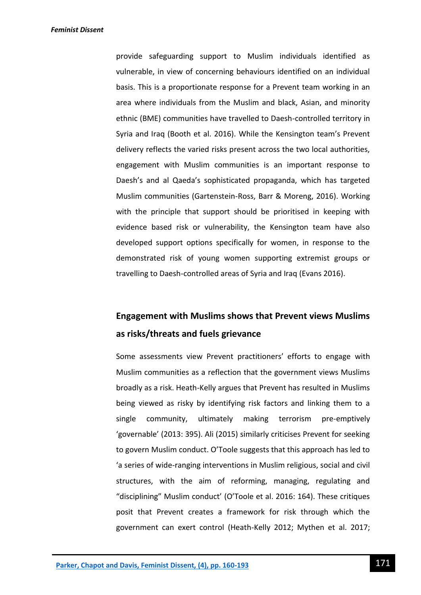provide safeguarding support to Muslim individuals identified as vulnerable, in view of concerning behaviours identified on an individual basis. This is a proportionate response for a Prevent team working in an area where individuals from the Muslim and black, Asian, and minority ethnic (BME) communities have travelled to Daesh-controlled territory in Syria and Iraq (Booth et al. 2016). While the Kensington team's Prevent delivery reflects the varied risks present across the two local authorities, engagement with Muslim communities is an important response to Daesh's and al Qaeda's sophisticated propaganda, which has targeted Muslim communities (Gartenstein-Ross, Barr & Moreng, 2016). Working with the principle that support should be prioritised in keeping with evidence based risk or vulnerability, the Kensington team have also developed support options specifically for women, in response to the demonstrated risk of young women supporting extremist groups or travelling to Daesh-controlled areas of Syria and Iraq (Evans 2016).

# **Engagement with Muslims shows that Prevent views Muslims as risks/threats and fuels grievance**

Some assessments view Prevent practitioners' efforts to engage with Muslim communities as a reflection that the government views Muslims broadly as a risk. Heath-Kelly argues that Prevent has resulted in Muslims being viewed as risky by identifying risk factors and linking them to a single community, ultimately making terrorism pre-emptively 'governable' (2013: 395). Ali (2015) similarly criticises Prevent for seeking to govern Muslim conduct. O'Toole suggests that this approach has led to 'a series of wide-ranging interventions in Muslim religious, social and civil structures, with the aim of reforming, managing, regulating and "disciplining" Muslim conduct' (O'Toole et al. 2016: 164). These critiques posit that Prevent creates a framework for risk through which the government can exert control (Heath-Kelly 2012; Mythen et al. 2017;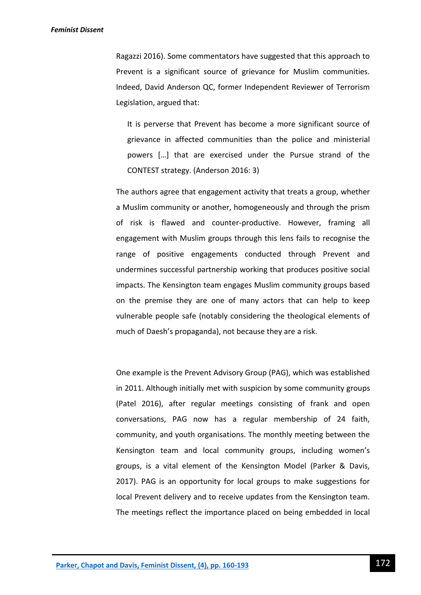### *Feminist Dissent*

Ragazzi 2016). Some commentators have suggested that this approach to Prevent is a significant source of grievance for Muslim communities. Indeed, David Anderson QC, former Independent Reviewer of Terrorism Legislation, argued that:

It is perverse that Prevent has become a more significant source of grievance in affected communities than the police and ministerial powers […] that are exercised under the Pursue strand of the CONTEST strategy. (Anderson 2016: 3)

The authors agree that engagement activity that treats a group, whether a Muslim community or another, homogeneously and through the prism of risk is flawed and counter-productive. However, framing all engagement with Muslim groups through this lens fails to recognise the range of positive engagements conducted through Prevent and undermines successful partnership working that produces positive social impacts. The Kensington team engages Muslim community groups based on the premise they are one of many actors that can help to keep vulnerable people safe (notably considering the theological elements of much of Daesh's propaganda), not because they are a risk.

One example is the Prevent Advisory Group (PAG), which was established in 2011. Although initially met with suspicion by some community groups (Patel 2016), after regular meetings consisting of frank and open conversations, PAG now has a regular membership of 24 faith, community, and youth organisations. The monthly meeting between the Kensington team and local community groups, including women's groups, is a vital element of the Kensington Model (Parker & Davis, 2017). PAG is an opportunity for local groups to make suggestions for local Prevent delivery and to receive updates from the Kensington team. The meetings reflect the importance placed on being embedded in local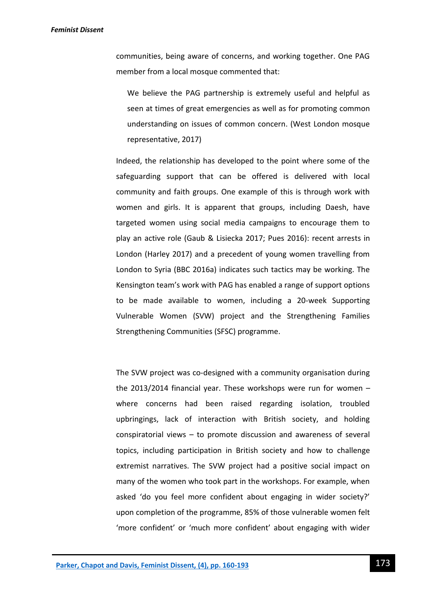communities, being aware of concerns, and working together. One PAG member from a local mosque commented that:

We believe the PAG partnership is extremely useful and helpful as seen at times of great emergencies as well as for promoting common understanding on issues of common concern. (West London mosque representative, 2017)

Indeed, the relationship has developed to the point where some of the safeguarding support that can be offered is delivered with local community and faith groups. One example of this is through work with women and girls. It is apparent that groups, including Daesh, have targeted women using social media campaigns to encourage them to play an active role (Gaub & Lisiecka 2017; Pues 2016): recent arrests in London (Harley 2017) and a precedent of young women travelling from London to Syria (BBC 2016a) indicates such tactics may be working. The Kensington team's work with PAG has enabled a range of support options to be made available to women, including a 20-week Supporting Vulnerable Women (SVW) project and the Strengthening Families Strengthening Communities (SFSC) programme.

The SVW project was co-designed with a community organisation during the 2013/2014 financial year. These workshops were run for women – where concerns had been raised regarding isolation, troubled upbringings, lack of interaction with British society, and holding conspiratorial views – to promote discussion and awareness of several topics, including participation in British society and how to challenge extremist narratives. The SVW project had a positive social impact on many of the women who took part in the workshops. For example, when asked 'do you feel more confident about engaging in wider society?' upon completion of the programme, 85% of those vulnerable women felt 'more confident' or 'much more confident' about engaging with wider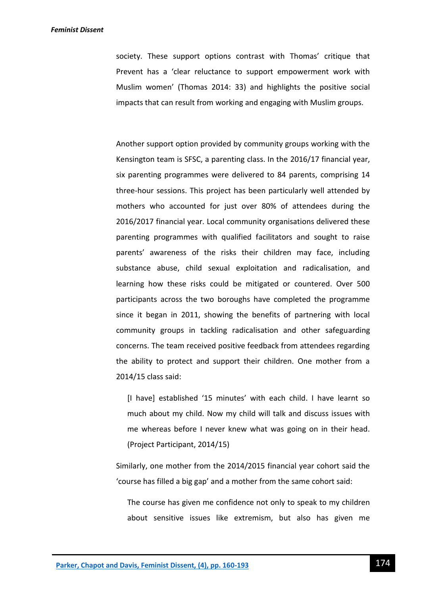society. These support options contrast with Thomas' critique that Prevent has a 'clear reluctance to support empowerment work with Muslim women' (Thomas 2014: 33) and highlights the positive social impacts that can result from working and engaging with Muslim groups.

Another support option provided by community groups working with the Kensington team is SFSC, a parenting class. In the 2016/17 financial year, six parenting programmes were delivered to 84 parents, comprising 14 three-hour sessions. This project has been particularly well attended by mothers who accounted for just over 80% of attendees during the 2016/2017 financial year. Local community organisations delivered these parenting programmes with qualified facilitators and sought to raise parents' awareness of the risks their children may face, including substance abuse, child sexual exploitation and radicalisation, and learning how these risks could be mitigated or countered. Over 500 participants across the two boroughs have completed the programme since it began in 2011, showing the benefits of partnering with local community groups in tackling radicalisation and other safeguarding concerns. The team received positive feedback from attendees regarding the ability to protect and support their children. One mother from a 2014/15 class said:

[I have] established '15 minutes' with each child. I have learnt so much about my child. Now my child will talk and discuss issues with me whereas before I never knew what was going on in their head. (Project Participant, 2014/15)

Similarly, one mother from the 2014/2015 financial year cohort said the 'course has filled a big gap' and a mother from the same cohort said:

The course has given me confidence not only to speak to my children about sensitive issues like extremism, but also has given me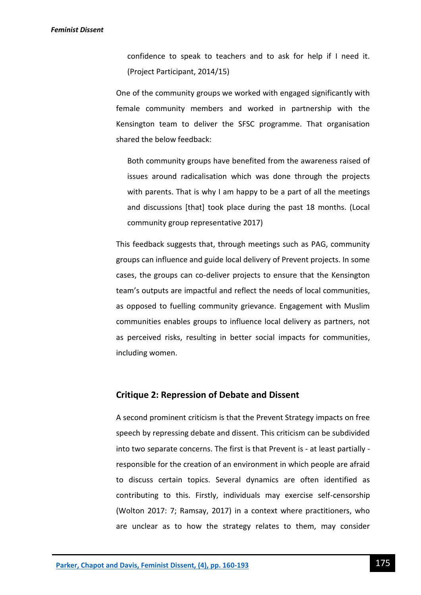confidence to speak to teachers and to ask for help if I need it. (Project Participant, 2014/15)

One of the community groups we worked with engaged significantly with female community members and worked in partnership with the Kensington team to deliver the SFSC programme. That organisation shared the below feedback:

Both community groups have benefited from the awareness raised of issues around radicalisation which was done through the projects with parents. That is why I am happy to be a part of all the meetings and discussions [that] took place during the past 18 months. (Local community group representative 2017)

This feedback suggests that, through meetings such as PAG, community groups can influence and guide local delivery of Prevent projects. In some cases, the groups can co-deliver projects to ensure that the Kensington team's outputs are impactful and reflect the needs of local communities, as opposed to fuelling community grievance. Engagement with Muslim communities enables groups to influence local delivery as partners, not as perceived risks, resulting in better social impacts for communities, including women.

### **Critique 2: Repression of Debate and Dissent**

A second prominent criticism is that the Prevent Strategy impacts on free speech by repressing debate and dissent. This criticism can be subdivided into two separate concerns. The first is that Prevent is - at least partially responsible for the creation of an environment in which people are afraid to discuss certain topics. Several dynamics are often identified as contributing to this. Firstly, individuals may exercise self-censorship (Wolton 2017: 7; Ramsay, 2017) in a context where practitioners, who are unclear as to how the strategy relates to them, may consider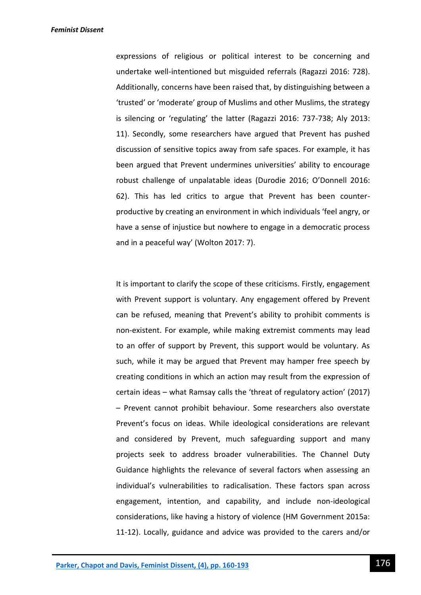expressions of religious or political interest to be concerning and undertake well-intentioned but misguided referrals (Ragazzi 2016: 728). Additionally, concerns have been raised that, by distinguishing between a 'trusted' or 'moderate' group of Muslims and other Muslims, the strategy is silencing or 'regulating' the latter (Ragazzi 2016: 737-738; Aly 2013: 11). Secondly, some researchers have argued that Prevent has pushed discussion of sensitive topics away from safe spaces. For example, it has been argued that Prevent undermines universities' ability to encourage robust challenge of unpalatable ideas (Durodie 2016; O'Donnell 2016: 62). This has led critics to argue that Prevent has been counterproductive by creating an environment in which individuals 'feel angry, or have a sense of injustice but nowhere to engage in a democratic process and in a peaceful way' (Wolton 2017: 7).

It is important to clarify the scope of these criticisms. Firstly, engagement with Prevent support is voluntary. Any engagement offered by Prevent can be refused, meaning that Prevent's ability to prohibit comments is non-existent. For example, while making extremist comments may lead to an offer of support by Prevent, this support would be voluntary. As such, while it may be argued that Prevent may hamper free speech by creating conditions in which an action may result from the expression of certain ideas – what Ramsay calls the 'threat of regulatory action' (2017) – Prevent cannot prohibit behaviour. Some researchers also overstate Prevent's focus on ideas. While ideological considerations are relevant and considered by Prevent, much safeguarding support and many projects seek to address broader vulnerabilities. The Channel Duty Guidance highlights the relevance of several factors when assessing an individual's vulnerabilities to radicalisation. These factors span across engagement, intention, and capability, and include non-ideological considerations, like having a history of violence (HM Government 2015a: 11-12). Locally, guidance and advice was provided to the carers and/or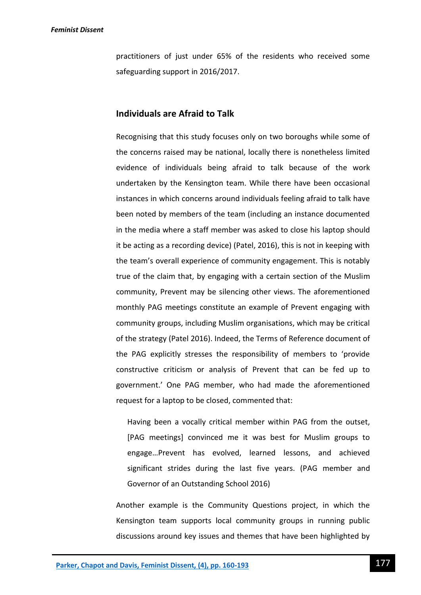practitioners of just under 65% of the residents who received some safeguarding support in 2016/2017.

# **Individuals are Afraid to Talk**

Recognising that this study focuses only on two boroughs while some of the concerns raised may be national, locally there is nonetheless limited evidence of individuals being afraid to talk because of the work undertaken by the Kensington team. While there have been occasional instances in which concerns around individuals feeling afraid to talk have been noted by members of the team (including an instance documented in the media where a staff member was asked to close his laptop should it be acting as a recording device) (Patel, 2016), this is not in keeping with the team's overall experience of community engagement. This is notably true of the claim that, by engaging with a certain section of the Muslim community, Prevent may be silencing other views. The aforementioned monthly PAG meetings constitute an example of Prevent engaging with community groups, including Muslim organisations, which may be critical of the strategy (Patel 2016). Indeed, the Terms of Reference document of the PAG explicitly stresses the responsibility of members to 'provide constructive criticism or analysis of Prevent that can be fed up to government.' One PAG member, who had made the aforementioned request for a laptop to be closed, commented that:

Having been a vocally critical member within PAG from the outset, [PAG meetings] convinced me it was best for Muslim groups to engage…Prevent has evolved, learned lessons, and achieved significant strides during the last five years. (PAG member and Governor of an Outstanding School 2016)

Another example is the Community Questions project, in which the Kensington team supports local community groups in running public discussions around key issues and themes that have been highlighted by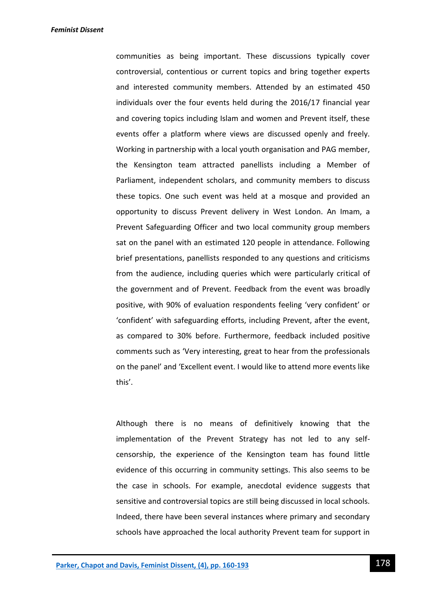communities as being important. These discussions typically cover controversial, contentious or current topics and bring together experts and interested community members. Attended by an estimated 450 individuals over the four events held during the 2016/17 financial year and covering topics including Islam and women and Prevent itself, these events offer a platform where views are discussed openly and freely. Working in partnership with a local youth organisation and PAG member, the Kensington team attracted panellists including a Member of Parliament, independent scholars, and community members to discuss these topics. One such event was held at a mosque and provided an opportunity to discuss Prevent delivery in West London. An Imam, a Prevent Safeguarding Officer and two local community group members sat on the panel with an estimated 120 people in attendance. Following brief presentations, panellists responded to any questions and criticisms from the audience, including queries which were particularly critical of the government and of Prevent. Feedback from the event was broadly positive, with 90% of evaluation respondents feeling 'very confident' or 'confident' with safeguarding efforts, including Prevent, after the event, as compared to 30% before. Furthermore, feedback included positive comments such as 'Very interesting, great to hear from the professionals on the panel' and 'Excellent event. I would like to attend more events like this'.

Although there is no means of definitively knowing that the implementation of the Prevent Strategy has not led to any selfcensorship, the experience of the Kensington team has found little evidence of this occurring in community settings. This also seems to be the case in schools. For example, anecdotal evidence suggests that sensitive and controversial topics are still being discussed in local schools. Indeed, there have been several instances where primary and secondary schools have approached the local authority Prevent team for support in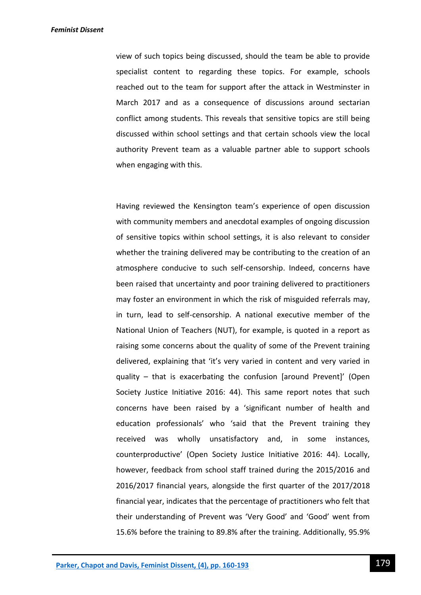view of such topics being discussed, should the team be able to provide specialist content to regarding these topics. For example, schools reached out to the team for support after the attack in Westminster in March 2017 and as a consequence of discussions around sectarian conflict among students. This reveals that sensitive topics are still being discussed within school settings and that certain schools view the local authority Prevent team as a valuable partner able to support schools when engaging with this.

Having reviewed the Kensington team's experience of open discussion with community members and anecdotal examples of ongoing discussion of sensitive topics within school settings, it is also relevant to consider whether the training delivered may be contributing to the creation of an atmosphere conducive to such self-censorship. Indeed, concerns have been raised that uncertainty and poor training delivered to practitioners may foster an environment in which the risk of misguided referrals may, in turn, lead to self-censorship. A national executive member of the National Union of Teachers (NUT), for example, is quoted in a report as raising some concerns about the quality of some of the Prevent training delivered, explaining that 'it's very varied in content and very varied in quality – that is exacerbating the confusion [around Prevent]' (Open Society Justice Initiative 2016: 44). This same report notes that such concerns have been raised by a 'significant number of health and education professionals' who 'said that the Prevent training they received was wholly unsatisfactory and, in some instances, counterproductive' (Open Society Justice Initiative 2016: 44). Locally, however, feedback from school staff trained during the 2015/2016 and 2016/2017 financial years, alongside the first quarter of the 2017/2018 financial year, indicates that the percentage of practitioners who felt that their understanding of Prevent was 'Very Good' and 'Good' went from 15.6% before the training to 89.8% after the training. Additionally, 95.9%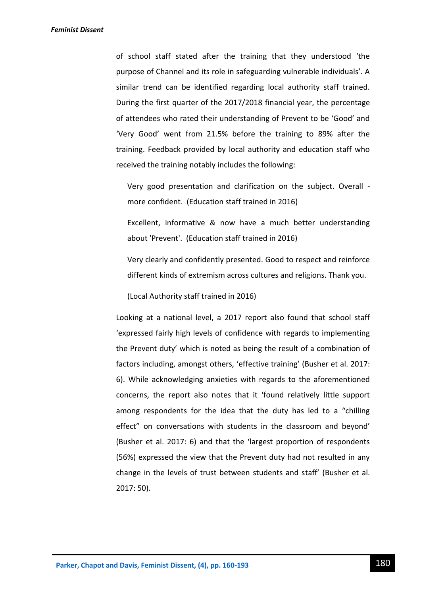of school staff stated after the training that they understood 'the purpose of Channel and its role in safeguarding vulnerable individuals'. A similar trend can be identified regarding local authority staff trained. During the first quarter of the 2017/2018 financial year, the percentage of attendees who rated their understanding of Prevent to be 'Good' and 'Very Good' went from 21.5% before the training to 89% after the training. Feedback provided by local authority and education staff who received the training notably includes the following:

Very good presentation and clarification on the subject. Overall more confident. (Education staff trained in 2016)

Excellent, informative & now have a much better understanding about 'Prevent'. (Education staff trained in 2016)

Very clearly and confidently presented. Good to respect and reinforce different kinds of extremism across cultures and religions. Thank you.

(Local Authority staff trained in 2016)

Looking at a national level, a 2017 report also found that school staff 'expressed fairly high levels of confidence with regards to implementing the Prevent duty' which is noted as being the result of a combination of factors including, amongst others, 'effective training' (Busher et al. 2017: 6). While acknowledging anxieties with regards to the aforementioned concerns, the report also notes that it 'found relatively little support among respondents for the idea that the duty has led to a "chilling effect" on conversations with students in the classroom and beyond' (Busher et al. 2017: 6) and that the 'largest proportion of respondents (56%) expressed the view that the Prevent duty had not resulted in any change in the levels of trust between students and staff' (Busher et al. 2017: 50).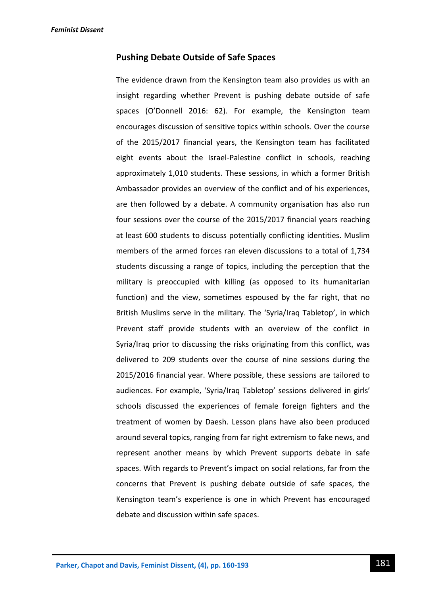### **Pushing Debate Outside of Safe Spaces**

The evidence drawn from the Kensington team also provides us with an insight regarding whether Prevent is pushing debate outside of safe spaces (O'Donnell 2016: 62). For example, the Kensington team encourages discussion of sensitive topics within schools. Over the course of the 2015/2017 financial years, the Kensington team has facilitated eight events about the Israel-Palestine conflict in schools, reaching approximately 1,010 students. These sessions, in which a former British Ambassador provides an overview of the conflict and of his experiences, are then followed by a debate. A community organisation has also run four sessions over the course of the 2015/2017 financial years reaching at least 600 students to discuss potentially conflicting identities. Muslim members of the armed forces ran eleven discussions to a total of 1,734 students discussing a range of topics, including the perception that the military is preoccupied with killing (as opposed to its humanitarian function) and the view, sometimes espoused by the far right, that no British Muslims serve in the military. The 'Syria/Iraq Tabletop', in which Prevent staff provide students with an overview of the conflict in Syria/Iraq prior to discussing the risks originating from this conflict, was delivered to 209 students over the course of nine sessions during the 2015/2016 financial year. Where possible, these sessions are tailored to audiences. For example, 'Syria/Iraq Tabletop' sessions delivered in girls' schools discussed the experiences of female foreign fighters and the treatment of women by Daesh. Lesson plans have also been produced around several topics, ranging from far right extremism to fake news, and represent another means by which Prevent supports debate in safe spaces. With regards to Prevent's impact on social relations, far from the concerns that Prevent is pushing debate outside of safe spaces, the Kensington team's experience is one in which Prevent has encouraged debate and discussion within safe spaces.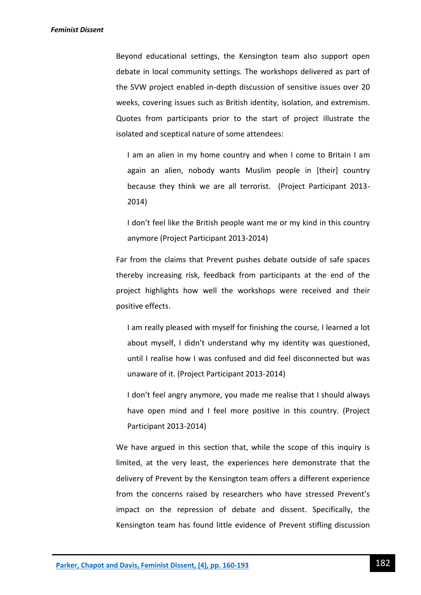Beyond educational settings, the Kensington team also support open debate in local community settings. The workshops delivered as part of the SVW project enabled in-depth discussion of sensitive issues over 20 weeks, covering issues such as British identity, isolation, and extremism. Quotes from participants prior to the start of project illustrate the isolated and sceptical nature of some attendees:

I am an alien in my home country and when I come to Britain I am again an alien, nobody wants Muslim people in [their] country because they think we are all terrorist. (Project Participant 2013- 2014)

I don't feel like the British people want me or my kind in this country anymore (Project Participant 2013-2014)

Far from the claims that Prevent pushes debate outside of safe spaces thereby increasing risk, feedback from participants at the end of the project highlights how well the workshops were received and their positive effects.

I am really pleased with myself for finishing the course, I learned a lot about myself, I didn't understand why my identity was questioned, until I realise how I was confused and did feel disconnected but was unaware of it. (Project Participant 2013-2014)

I don't feel angry anymore, you made me realise that I should always have open mind and I feel more positive in this country. (Project Participant 2013-2014)

We have argued in this section that, while the scope of this inquiry is limited, at the very least, the experiences here demonstrate that the delivery of Prevent by the Kensington team offers a different experience from the concerns raised by researchers who have stressed Prevent's impact on the repression of debate and dissent. Specifically, the Kensington team has found little evidence of Prevent stifling discussion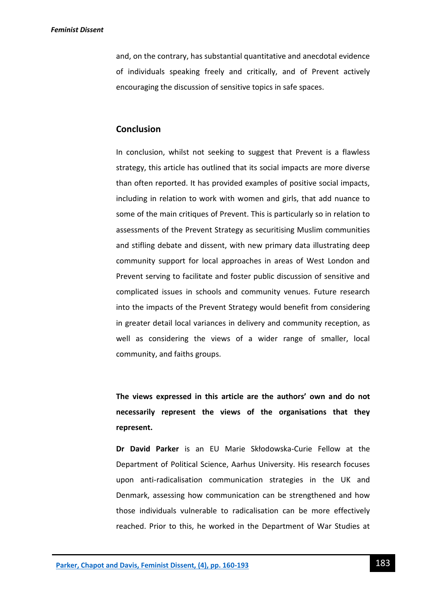and, on the contrary, has substantial quantitative and anecdotal evidence of individuals speaking freely and critically, and of Prevent actively encouraging the discussion of sensitive topics in safe spaces.

### **Conclusion**

In conclusion, whilst not seeking to suggest that Prevent is a flawless strategy, this article has outlined that its social impacts are more diverse than often reported. It has provided examples of positive social impacts, including in relation to work with women and girls, that add nuance to some of the main critiques of Prevent. This is particularly so in relation to assessments of the Prevent Strategy as securitising Muslim communities and stifling debate and dissent, with new primary data illustrating deep community support for local approaches in areas of West London and Prevent serving to facilitate and foster public discussion of sensitive and complicated issues in schools and community venues. Future research into the impacts of the Prevent Strategy would benefit from considering in greater detail local variances in delivery and community reception, as well as considering the views of a wider range of smaller, local community, and faiths groups.

**The views expressed in this article are the authors' own and do not necessarily represent the views of the organisations that they represent.**

**Dr David Parker** is an EU Marie Skłodowska-Curie Fellow at the Department of Political Science, Aarhus University. His research focuses upon anti-radicalisation communication strategies in the UK and Denmark, assessing how communication can be strengthened and how those individuals vulnerable to radicalisation can be more effectively reached. Prior to this, he worked in the Department of War Studies at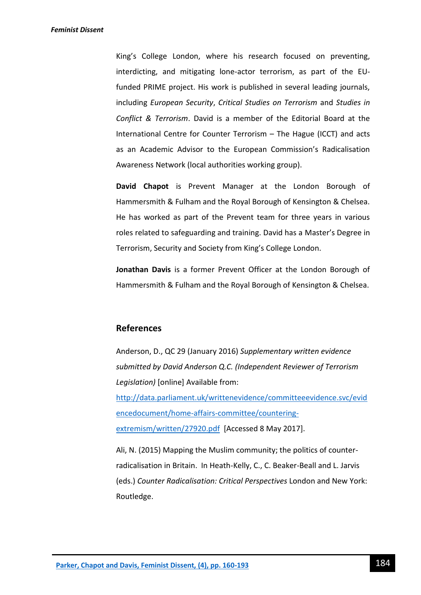King's College London, where his research focused on preventing, interdicting, and mitigating lone-actor terrorism, as part of the EUfunded PRIME project. His work is published in several leading journals, including *European Security*, *Critical Studies on Terrorism* and *Studies in Conflict & Terrorism*. David is a member of the Editorial Board at the International Centre for Counter Terrorism – The Hague (ICCT) and acts as an Academic Advisor to the European Commission's Radicalisation Awareness Network (local authorities working group).

**David Chapot** is Prevent Manager at the London Borough of Hammersmith & Fulham and the Royal Borough of Kensington & Chelsea. He has worked as part of the Prevent team for three years in various roles related to safeguarding and training. David has a Master's Degree in Terrorism, Security and Society from King's College London.

**Jonathan Davis** is a former Prevent Officer at the London Borough of Hammersmith & Fulham and the Royal Borough of Kensington & Chelsea.

## **References**

Anderson, D., QC 29 (January 2016) *Supplementary written evidence submitted by David Anderson Q.C. (Independent Reviewer of Terrorism Legislation)* [online] Available from: [http://data.parliament.uk/writtenevidence/committeeevidence.svc/evid](http://data.parliament.uk/writtenevidence/committeeevidence.svc/evidencedocument/home-affairs-committee/countering-extremism/written/27920.pdf) [encedocument/home-affairs-committee/countering](http://data.parliament.uk/writtenevidence/committeeevidence.svc/evidencedocument/home-affairs-committee/countering-extremism/written/27920.pdf)[extremism/written/27920.pdf](http://data.parliament.uk/writtenevidence/committeeevidence.svc/evidencedocument/home-affairs-committee/countering-extremism/written/27920.pdf) [Accessed 8 May 2017].

Ali, N. (2015) Mapping the Muslim community; the politics of counterradicalisation in Britain. In Heath-Kelly, C., C. Beaker-Beall and L. Jarvis (eds.) *Counter Radicalisation: Critical Perspectives* London and New York: Routledge.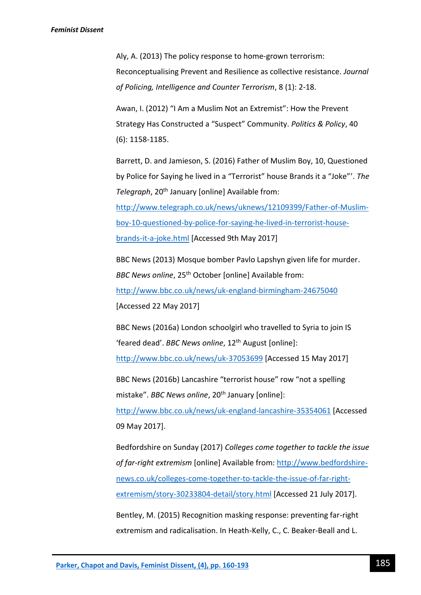Aly, A. (2013) The policy response to home-grown terrorism: Reconceptualising Prevent and Resilience as collective resistance. *Journal of Policing, Intelligence and Counter Terrorism*, 8 (1): 2-18.

Awan, I. (2012) "I Am a Muslim Not an Extremist": How the Prevent Strategy Has Constructed a "Suspect" Community. *Politics & Policy*, 40 (6): 1158-1185.

Barrett, D. and Jamieson, S. (2016) Father of Muslim Boy, 10, Questioned by Police for Saying he lived in a "Terrorist" house Brands it a "Joke"'. *The Telegraph*, 20th January [online] Available from:

[http://www.telegraph.co.uk/news/uknews/12109399/Father-of-Muslim](http://www.telegraph.co.uk/news/uknews/12109399/Father-of-Muslim-boy-10-questioned-by-police-for-saying-he-lived-in-terrorist-house-brands-it-a-joke.html)[boy-10-questioned-by-police-for-saying-he-lived-in-terrorist-house](http://www.telegraph.co.uk/news/uknews/12109399/Father-of-Muslim-boy-10-questioned-by-police-for-saying-he-lived-in-terrorist-house-brands-it-a-joke.html)[brands-it-a-joke.html](http://www.telegraph.co.uk/news/uknews/12109399/Father-of-Muslim-boy-10-questioned-by-police-for-saying-he-lived-in-terrorist-house-brands-it-a-joke.html) [Accessed 9th May 2017]

BBC News (2013) Mosque bomber Pavlo Lapshyn given life for murder. *BBC News online*, 25<sup>th</sup> October [online] Available from: <http://www.bbc.co.uk/news/uk-england-birmingham-24675040> [Accessed 22 May 2017]

BBC News (2016a) London schoolgirl who travelled to Syria to join IS 'feared dead'. *BBC News online*, 12th August [online]:

<http://www.bbc.co.uk/news/uk-37053699> [Accessed 15 May 2017]

BBC News (2016b) Lancashire "terrorist house" row "not a spelling mistake". *BBC News online*, 20<sup>th</sup> January [online]:

<http://www.bbc.co.uk/news/uk-england-lancashire-35354061> [Accessed 09 May 2017].

Bedfordshire on Sunday (2017) *Colleges come together to tackle the issue of far-right extremism* [online] Available from: [http://www.bedfordshire](http://www.bedfordshire-news.co.uk/colleges-come-together-to-tackle-the-issue-of-far-right-extremism/story-30233804-detail/story.html)[news.co.uk/colleges-come-together-to-tackle-the-issue-of-far-right](http://www.bedfordshire-news.co.uk/colleges-come-together-to-tackle-the-issue-of-far-right-extremism/story-30233804-detail/story.html)[extremism/story-30233804-detail/story.html](http://www.bedfordshire-news.co.uk/colleges-come-together-to-tackle-the-issue-of-far-right-extremism/story-30233804-detail/story.html) [Accessed 21 July 2017].

Bentley, M. (2015) Recognition masking response: preventing far-right extremism and radicalisation. In Heath-Kelly, C., C. Beaker-Beall and L.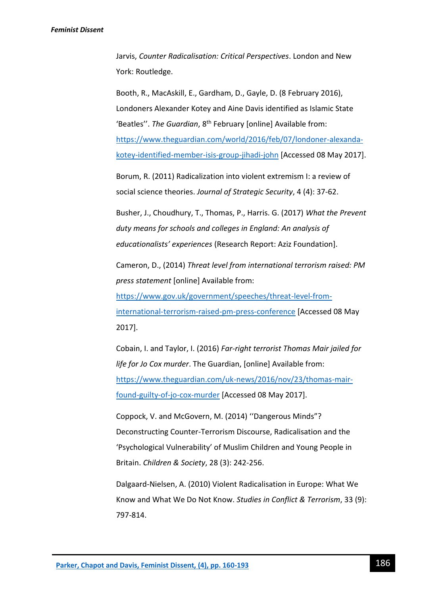Jarvis, *Counter Radicalisation: Critical Perspectives*. London and New York: Routledge.

Booth, R., MacAskill, E., Gardham, D., Gayle, D. (8 February 2016), Londoners Alexander Kotey and Aine Davis identified as Islamic State 'Beatles''. The Guardian, 8<sup>th</sup> February [online] Available from: [https://www.theguardian.com/world/2016/feb/07/londoner-alexanda](https://www.theguardian.com/world/2016/feb/07/londoner-alexanda-kotey-identified-member-isis-group-jihadi-john)[kotey-identified-member-isis-group-jihadi-john](https://www.theguardian.com/world/2016/feb/07/londoner-alexanda-kotey-identified-member-isis-group-jihadi-john) [Accessed 08 May 2017].

Borum, R. (2011) Radicalization into violent extremism I: a review of social science theories. *Journal of Strategic Security*, 4 (4): 37-62.

Busher, J., Choudhury, T., Thomas, P., Harris. G. (2017) *What the Prevent duty means for schools and colleges in England: An analysis of educationalists' experiences* (Research Report: Aziz Foundation].

Cameron, D., (2014) *Threat level from international terrorism raised: PM press statement* [online] Available from:

[https://www.gov.uk/government/speeches/threat-level-from](https://www.gov.uk/government/speeches/threat-level-from-international-terrorism-raised-pm-press-conference)[international-terrorism-raised-pm-press-conference](https://www.gov.uk/government/speeches/threat-level-from-international-terrorism-raised-pm-press-conference) [Accessed 08 May 2017].

Cobain, I. and Taylor, I. (2016) *Far-right terrorist Thomas Mair jailed for life for Jo Cox murder*. The Guardian, [online] Available from: [https://www.theguardian.com/uk-news/2016/nov/23/thomas-mair](https://www.theguardian.com/uk-news/2016/nov/23/thomas-mair-found-guilty-of-jo-cox-murder)[found-guilty-of-jo-cox-murder](https://www.theguardian.com/uk-news/2016/nov/23/thomas-mair-found-guilty-of-jo-cox-murder) [Accessed 08 May 2017].

Coppock, V. and McGovern, M. (2014) ''Dangerous Minds"? Deconstructing Counter-Terrorism Discourse, Radicalisation and the 'Psychological Vulnerability' of Muslim Children and Young People in Britain. *Children & Society*, 28 (3): 242-256.

Dalgaard-Nielsen, A. (2010) Violent Radicalisation in Europe: What We Know and What We Do Not Know. *Studies in Conflict & Terrorism*, 33 (9): 797-814.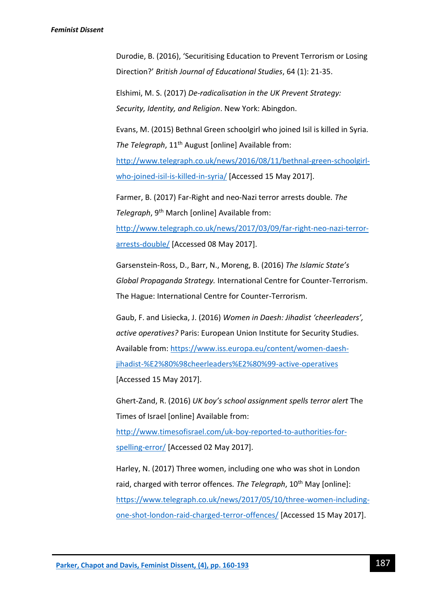Durodie, B. (2016), 'Securitising Education to Prevent Terrorism or Losing Direction?' *British Journal of Educational Studies*, 64 (1): 21-35.

Elshimi, M. S. (2017) *De-radicalisation in the UK Prevent Strategy: Security, Identity, and Religion*. New York: Abingdon.

Evans, M. (2015) Bethnal Green schoolgirl who joined Isil is killed in Syria*. The Telegraph*, 11<sup>th</sup> August [online] Available from: [http://www.telegraph.co.uk/news/2016/08/11/bethnal-green-schoolgirl](http://www.telegraph.co.uk/news/2016/08/11/bethnal-green-schoolgirl-who-joined-isil-is-killed-in-syria/)[who-joined-isil-is-killed-in-syria/](http://www.telegraph.co.uk/news/2016/08/11/bethnal-green-schoolgirl-who-joined-isil-is-killed-in-syria/) [Accessed 15 May 2017].

Farmer, B. (2017) Far-Right and neo-Nazi terror arrests double*. The*  Telegraph, 9<sup>th</sup> March [online] Available from: [http://www.telegraph.co.uk/news/2017/03/09/far-right-neo-nazi-terror](http://www.telegraph.co.uk/news/2017/03/09/far-right-neo-nazi-terror-arrests-double/)[arrests-double/](http://www.telegraph.co.uk/news/2017/03/09/far-right-neo-nazi-terror-arrests-double/) [Accessed 08 May 2017].

Garsenstein-Ross, D., Barr, N., Moreng, B. (2016) *The Islamic State's Global Propaganda Strategy.* International Centre for Counter-Terrorism.

The Hague: International Centre for Counter-Terrorism.

Gaub, F. and Lisiecka, J. (2016) *Women in Daesh: Jihadist 'cheerleaders', active operatives?* Paris: European Union Institute for Security Studies. Available from: [https://www.iss.europa.eu/content/women-daesh](https://www.iss.europa.eu/content/women-daesh-jihadist-‘cheerleaders’-active-operatives)[jihadist-%E2%80%98cheerleaders%E2%80%99-active-operatives](https://www.iss.europa.eu/content/women-daesh-jihadist-‘cheerleaders’-active-operatives) [Accessed 15 May 2017].

Ghert-Zand, R. (2016) *UK boy's school assignment spells terror alert* The Times of Israel [online] Available from:

[http://www.timesofisrael.com/uk-boy-reported-to-authorities-for](http://www.timesofisrael.com/uk-boy-reported-to-authorities-for-spelling-error/)[spelling-error/](http://www.timesofisrael.com/uk-boy-reported-to-authorities-for-spelling-error/) [Accessed 02 May 2017].

Harley, N. (2017) Three women, including one who was shot in London raid, charged with terror offences. The Telegraph, 10<sup>th</sup> May [online]: [https://www.telegraph.co.uk/news/2017/05/10/three-women-including](https://www.telegraph.co.uk/news/2017/05/10/three-women-including-one-shot-london-raid-charged-terror-offences/)[one-shot-london-raid-charged-terror-offences/](https://www.telegraph.co.uk/news/2017/05/10/three-women-including-one-shot-london-raid-charged-terror-offences/) [Accessed 15 May 2017].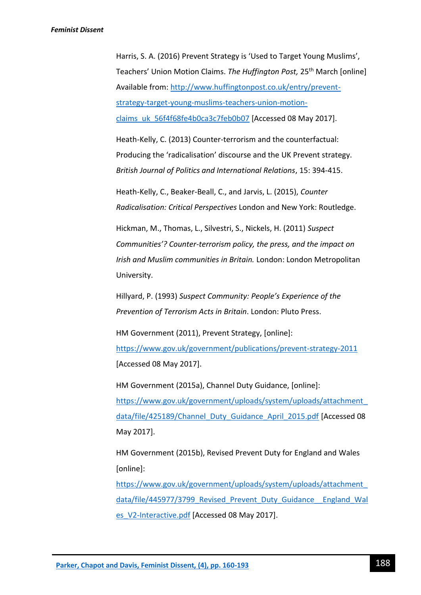Harris, S. A. (2016) Prevent Strategy is 'Used to Target Young Muslims', Teachers' Union Motion Claims. *The Huffington Post*, 25<sup>th</sup> March [online] Available from: [http://www.huffingtonpost.co.uk/entry/prevent](http://www.huffingtonpost.co.uk/entry/prevent-strategy-target-young-muslims-teachers-union-motion-claims_uk_56f4f68fe4b0ca3c7feb0b07)[strategy-target-young-muslims-teachers-union-motion](http://www.huffingtonpost.co.uk/entry/prevent-strategy-target-young-muslims-teachers-union-motion-claims_uk_56f4f68fe4b0ca3c7feb0b07)[claims\\_uk\\_56f4f68fe4b0ca3c7feb0b07](http://www.huffingtonpost.co.uk/entry/prevent-strategy-target-young-muslims-teachers-union-motion-claims_uk_56f4f68fe4b0ca3c7feb0b07) [Accessed 08 May 2017].

Heath-Kelly, C. (2013) Counter-terrorism and the counterfactual: Producing the 'radicalisation' discourse and the UK Prevent strategy. *British Journal of Politics and International Relations*, 15: 394-415.

Heath-Kelly, C., Beaker-Beall, C., and Jarvis, L. (2015), *Counter Radicalisation: Critical Perspectives* London and New York: Routledge.

Hickman, M., Thomas, L., Silvestri, S., Nickels, H. (2011) *Suspect Communities'? Counter-terrorism policy, the press, and the impact on Irish and Muslim communities in Britain.* London: London Metropolitan University.

Hillyard, P. (1993) *Suspect Community: People's Experience of the Prevention of Terrorism Acts in Britain*. London: Pluto Press.

HM Government (2011), Prevent Strategy, [online]: <https://www.gov.uk/government/publications/prevent-strategy-2011> [Accessed 08 May 2017].

HM Government (2015a), Channel Duty Guidance, [online]: [https://www.gov.uk/government/uploads/system/uploads/attachment\\_](https://www.gov.uk/government/uploads/system/uploads/attachment_data/file/425189/Channel_Duty_Guidance_April_2015.pdf) [data/file/425189/Channel\\_Duty\\_Guidance\\_April\\_2015.pdf](https://www.gov.uk/government/uploads/system/uploads/attachment_data/file/425189/Channel_Duty_Guidance_April_2015.pdf) [Accessed 08 May 2017].

HM Government (2015b), Revised Prevent Duty for England and Wales [online]:

[https://www.gov.uk/government/uploads/system/uploads/attachment\\_](https://www.gov.uk/government/uploads/system/uploads/attachment_data/file/445977/3799_Revised_Prevent_Duty_Guidance__England_Wales_V2-Interactive.pdf) data/file/445977/3799 Revised Prevent Duty Guidance England Wal [es\\_V2-Interactive.pdf](https://www.gov.uk/government/uploads/system/uploads/attachment_data/file/445977/3799_Revised_Prevent_Duty_Guidance__England_Wales_V2-Interactive.pdf) [Accessed 08 May 2017].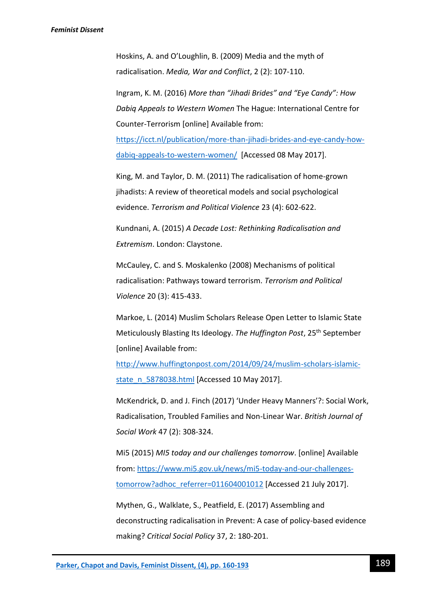Hoskins, A. and O'Loughlin, B. (2009) Media and the myth of radicalisation. *Media, War and Conflict*, 2 (2): 107-110.

Ingram, K. M. (2016) *More than "Jihadi Brides" and "Eye Candy": How Dabiq Appeals to Western Women* The Hague: International Centre for Counter-Terrorism [online] Available from:

[https://icct.nl/publication/more-than-jihadi-brides-and-eye-candy-how](https://icct.nl/publication/more-than-jihadi-brides-and-eye-candy-how-dabiq-appeals-to-western-women/)[dabiq-appeals-to-western-women/](https://icct.nl/publication/more-than-jihadi-brides-and-eye-candy-how-dabiq-appeals-to-western-women/) [Accessed 08 May 2017].

King, M. and Taylor, D. M. (2011) The radicalisation of home-grown jihadists: A review of theoretical models and social psychological evidence. *Terrorism and Political Violence* 23 (4): 602-622.

Kundnani, A. (2015) *A Decade Lost: Rethinking Radicalisation and Extremism*. London: Claystone.

McCauley, C. and S. Moskalenko (2008) Mechanisms of political radicalisation: Pathways toward terrorism. *Terrorism and Political Violence* 20 (3): 415-433.

Markoe, L. (2014) Muslim Scholars Release Open Letter to Islamic State Meticulously Blasting Its Ideology. *The Huffington Post*, 25th September [online] Available from:

[http://www.huffingtonpost.com/2014/09/24/muslim-scholars-islamic](http://www.huffingtonpost.com/2014/09/24/muslim-scholars-islamic-state_n_5878038.html)[state\\_n\\_5878038.html](http://www.huffingtonpost.com/2014/09/24/muslim-scholars-islamic-state_n_5878038.html) [Accessed 10 May 2017].

McKendrick, D. and J. Finch (2017) 'Under Heavy Manners'?: Social Work, Radicalisation, Troubled Families and Non-Linear War. *British Journal of Social Work* 47 (2): 308-324.

Mi5 (2015) *MI5 today and our challenges tomorrow*. [online] Available from: [https://www.mi5.gov.uk/news/mi5-today-and-our-challenges](https://www.mi5.gov.uk/news/mi5-today-and-our-challenges-tomorrow?adhoc_referrer=011604001012)[tomorrow?adhoc\\_referrer=011604001012](https://www.mi5.gov.uk/news/mi5-today-and-our-challenges-tomorrow?adhoc_referrer=011604001012) [Accessed 21 July 2017].

Mythen, G., Walklate, S., Peatfield, E. (2017) Assembling and deconstructing radicalisation in Prevent: A case of policy-based evidence making? *Critical Social Policy* 37, 2: 180-201.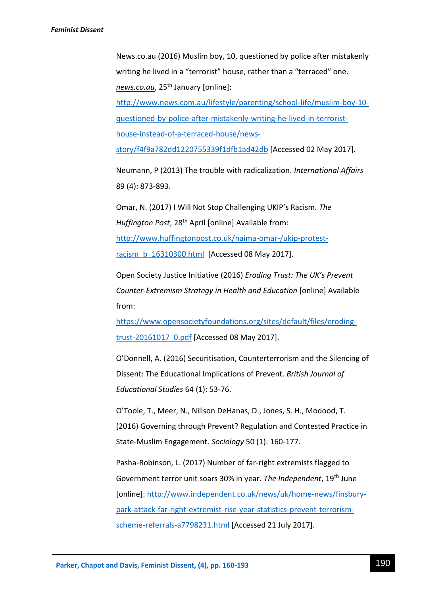News.co.au (2016) Muslim boy, 10, questioned by police after mistakenly writing he lived in a "terrorist" house, rather than a "terraced" one. *news.co.au*, 25th January [online]:

[http://www.news.com.au/lifestyle/parenting/school-life/muslim-boy-10](http://www.news.com.au/lifestyle/parenting/school-life/muslim-boy-10-questioned-by-police-after-mistakenly-writing-he-lived-in-terrorist-house-instead-of-a-terraced-house/news-story/f4f9a782dd1220755339f1dfb1ad42db) [questioned-by-police-after-mistakenly-writing-he-lived-in-terrorist](http://www.news.com.au/lifestyle/parenting/school-life/muslim-boy-10-questioned-by-police-after-mistakenly-writing-he-lived-in-terrorist-house-instead-of-a-terraced-house/news-story/f4f9a782dd1220755339f1dfb1ad42db)[house-instead-of-a-terraced-house/news-](http://www.news.com.au/lifestyle/parenting/school-life/muslim-boy-10-questioned-by-police-after-mistakenly-writing-he-lived-in-terrorist-house-instead-of-a-terraced-house/news-story/f4f9a782dd1220755339f1dfb1ad42db)

[story/f4f9a782dd1220755339f1dfb1ad42db](http://www.news.com.au/lifestyle/parenting/school-life/muslim-boy-10-questioned-by-police-after-mistakenly-writing-he-lived-in-terrorist-house-instead-of-a-terraced-house/news-story/f4f9a782dd1220755339f1dfb1ad42db) [Accessed 02 May 2017].

Neumann, P (2013) The trouble with radicalization. *International Affairs* 89 (4): 873-893.

Omar, N. (2017) I Will Not Stop Challenging UKIP's Racism*. The*  Huffington Post, 28<sup>th</sup> April [online] Available from: [http://www.huffingtonpost.co.uk/naima-omar-/ukip-protest](http://www.huffingtonpost.co.uk/naima-omar-/ukip-protest-racism_b_16310300.html)[racism\\_b\\_16310300.html](http://www.huffingtonpost.co.uk/naima-omar-/ukip-protest-racism_b_16310300.html) [Accessed 08 May 2017].

Open Society Justice Initiative (2016) *Eroding Trust: The UK's Prevent Counter-Extremism Strategy in Health and Education* [online] Available from:

[https://www.opensocietyfoundations.org/sites/default/files/eroding](https://www.opensocietyfoundations.org/sites/default/files/eroding-trust-20161017_0.pdf)trust-20161017 0.pdf [Accessed 08 May 2017].

O'Donnell, A. (2016) Securitisation, Counterterrorism and the Silencing of Dissent: The Educational Implications of Prevent. *British Journal of Educational Studies* 64 (1): 53-76.

O'Toole, T., Meer, N., Nillson DeHanas, D., Jones, S. H., Modood, T. (2016) Governing through Prevent? Regulation and Contested Practice in State-Muslim Engagement. *Sociology* 50 (1): 160-177.

Pasha-Robinson, L. (2017) Number of far-right extremists flagged to Government terror unit soars 30% in year*. The Independent*, 19th June [online]: [http://www.independent.co.uk/news/uk/home-news/finsbury](http://www.independent.co.uk/news/uk/home-news/finsbury-park-attack-far-right-extremist-rise-year-statistics-prevent-terrorism-scheme-referrals-a7798231.html)[park-attack-far-right-extremist-rise-year-statistics-prevent-terrorism](http://www.independent.co.uk/news/uk/home-news/finsbury-park-attack-far-right-extremist-rise-year-statistics-prevent-terrorism-scheme-referrals-a7798231.html)[scheme-referrals-a7798231.html](http://www.independent.co.uk/news/uk/home-news/finsbury-park-attack-far-right-extremist-rise-year-statistics-prevent-terrorism-scheme-referrals-a7798231.html) [Accessed 21 July 2017].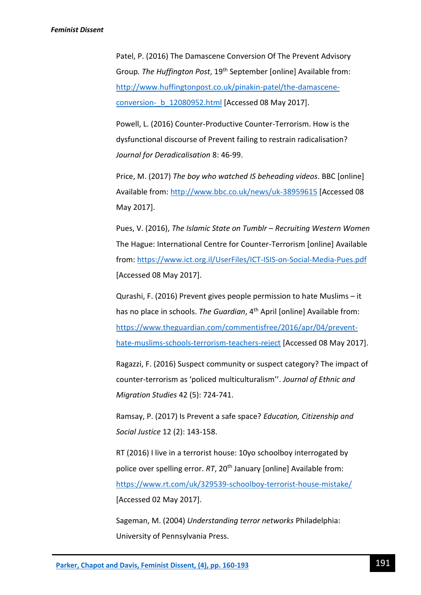Patel, P. (2016) The Damascene Conversion Of The Prevent Advisory Group*. The Huffington Post*, 19th September [online] Available from: [http://www.huffingtonpost.co.uk/pinakin-patel/the-damascene](http://www.huffingtonpost.co.uk/pinakin-patel/the-damascene-conversion-_b_12080952.html)[conversion-\\_b\\_12080952.html](http://www.huffingtonpost.co.uk/pinakin-patel/the-damascene-conversion-_b_12080952.html) [Accessed 08 May 2017].

Powell, L. (2016) Counter-Productive Counter-Terrorism. How is the dysfunctional discourse of Prevent failing to restrain radicalisation? *Journal for Deradicalisation* 8: 46-99.

Price, M. (2017) *The boy who watched IS beheading videos*. BBC [online] Available from:<http://www.bbc.co.uk/news/uk-38959615> [Accessed 08 May 2017].

Pues, V. (2016), *The Islamic State on Tumblr – Recruiting Western Women* The Hague: International Centre for Counter-Terrorism [online] Available from:<https://www.ict.org.il/UserFiles/ICT-ISIS-on-Social-Media-Pues.pdf> [Accessed 08 May 2017].

Qurashi, F. (2016) Prevent gives people permission to hate Muslims – it has no place in schools. *The Guardian*, 4<sup>th</sup> April [online] Available from: [https://www.theguardian.com/commentisfree/2016/apr/04/prevent](https://www.theguardian.com/commentisfree/2016/apr/04/prevent-hate-muslims-schools-terrorism-teachers-reject)[hate-muslims-schools-terrorism-teachers-reject](https://www.theguardian.com/commentisfree/2016/apr/04/prevent-hate-muslims-schools-terrorism-teachers-reject) [Accessed 08 May 2017].

Ragazzi, F. (2016) Suspect community or suspect category? The impact of counter-terrorism as 'policed multiculturalism''. *Journal of Ethnic and Migration Studies* 42 (5): 724-741.

Ramsay, P. (2017) Is Prevent a safe space? *Education, Citizenship and Social Justice* 12 (2): 143-158.

RT (2016) I live in a terrorist house: 10yo schoolboy interrogated by police over spelling error. *RT*, 20<sup>th</sup> January [online] Available from: <https://www.rt.com/uk/329539-schoolboy-terrorist-house-mistake/> [Accessed 02 May 2017].

Sageman, M. (2004) *Understanding terror networks* Philadelphia: University of Pennsylvania Press.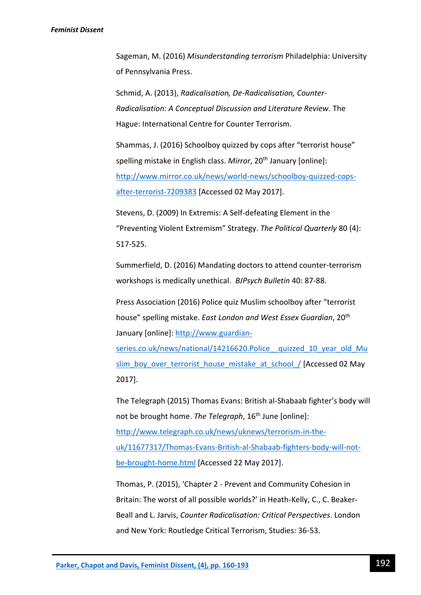### *Feminist Dissent*

Sageman, M. (2016) *Misunderstanding terrorism* Philadelphia: University of Pennsylvania Press.

Schmid, A. (2013), *Radicalisation, De-Radicalisation, Counter-Radicalisation: A Conceptual Discussion and Literature Review*. The Hague: International Centre for Counter Terrorism.

Shammas, J. (2016) Schoolboy quizzed by cops after "terrorist house" spelling mistake in English class. *Mirror*, 20<sup>th</sup> January [online]: [http://www.mirror.co.uk/news/world-news/schoolboy-quizzed-cops](http://www.mirror.co.uk/news/world-news/schoolboy-quizzed-cops-after-terrorist-7209383)[after-terrorist-7209383](http://www.mirror.co.uk/news/world-news/schoolboy-quizzed-cops-after-terrorist-7209383) [Accessed 02 May 2017].

Stevens, D. (2009) In Extremis: A Self-defeating Element in the "Preventing Violent Extremism" Strategy. *The Political Quarterly* 80 (4): 517-525.

Summerfield, D. (2016) Mandating doctors to attend counter-terrorism workshops is medically unethical. *BJPsych Bulletin* 40: 87-88.

Press Association (2016) Police quiz Muslim schoolboy after "terrorist house" spelling mistake. *East London and West Essex Guardian*, 20th January [online]: [http://www.guardian-](http://www.guardian-series.co.uk/news/national/14216620.Police__quizzed_10_year_old_Muslim_boy_over_terrorist_house_mistake_at_school_/)

series.co.uk/news/national/14216620.Police quizzed 10 year old Mu slim\_boy\_over\_terrorist\_house\_mistake\_at\_school / [Accessed 02 May 2017].

The Telegraph (2015) Thomas Evans: British al-Shabaab fighter's body will not be brought home. *The Telegraph*, 16th June [online]: [http://www.telegraph.co.uk/news/uknews/terrorism-in-the](http://www.telegraph.co.uk/news/uknews/terrorism-in-the-uk/11677317/Thomas-Evans-British-al-Shabaab-fighters-body-will-not-be-brought-home.html)[uk/11677317/Thomas-Evans-British-al-Shabaab-fighters-body-will-not](http://www.telegraph.co.uk/news/uknews/terrorism-in-the-uk/11677317/Thomas-Evans-British-al-Shabaab-fighters-body-will-not-be-brought-home.html)[be-brought-home.html](http://www.telegraph.co.uk/news/uknews/terrorism-in-the-uk/11677317/Thomas-Evans-British-al-Shabaab-fighters-body-will-not-be-brought-home.html) [Accessed 22 May 2017].

Thomas, P. (2015), 'Chapter 2 - Prevent and Community Cohesion in Britain: The worst of all possible worlds?' in Heath-Kelly, C., C. Beaker-Beall and L. Jarvis, *Counter Radicalisation: Critical Perspectives*. London and New York: Routledge Critical Terrorism, Studies: 36-53.